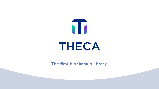## **The first blockchain library.**

THECA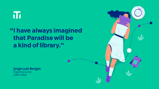# 

# **I have always imagined " that Paradise will be a kind of library."**

**Jorge Luis Borges**  Argentine writer (1899-1986)

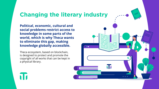# **Changing the literary industry**

**Political, economic, cultural and social problems restrict access to knowledge in some parts of the world, which is why Theca wants to eliminate this gap, making knowledge globally accessible.**

Theca ecosystem, based on blockchain, is designed to protect and promote the copyright of all works that can be kept in a physical library.

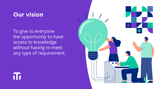## **Our vision**

To give to everyone the opportunity to have access to knowledge without having to meet any type of requirement.



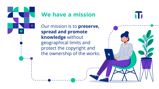

# **We have a mission**

Our mission is to **preserve, spread and promote knowledge** without geographical limits and protect the copyright and the ownership of the works. NT.

 $\boldsymbol{\omega}$ 

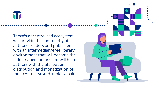Theca's decentralized ecosystem will provide the community of authors, readers and publishers with an intermediary-free literary environment that will become the industry benchmark and will help authors with the attribution, distribution and monetization of

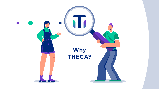

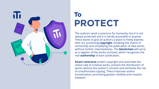

# **To PROTECT**

The authors' work is precious for humanity, but it is not always protected and it is hardly accessible to anyone. Theca wants to give all authors a place to freely express their art, protecting **copyright**, breaking the chains of censorship and simplifying the publication of new works, without further intermediaries. The **blockchain** will serve as a register of the works archived, which recognizes the real **authorship** of each publication.

**Smart contracts** protect copyright and automate the online sale of creative works, prevent the distribution of works without the author's consent and eliminate the risk of unauthorized copying. Theca improves author monetization, promoting greater visibility and creative freedom.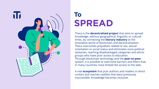Theca is the **decentralized project** that aims to spread knowledge, without geographical, linguistic or cultural limits, by connecting the **literary industry** to the innovative world of blockchain and decentralization. Theca overcomes prejudices related to sex, sexual orientation or social status and eliminates socio-political obstacles, reaching disadvantaged categories and ethnic groups who have poor access to education. Through blockchain technology and the **peer-to-peer**  system, it is possible to overcome barriers and filters that, in many countries, have limited the access to the web.

A real **ecosystem** that puts authors and readers in direct contact and reaches realities that were previously inaccessible. Knowledge becomes inclusive.



# **To SPREAD**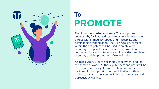Thanks to the **sharing economy**, Theca supports copyright by facilitating direct interactions between the parties with immediacy, speed and traceability and eliminating intermediation. The THECA token, present within the ecosystem, will be used to create a real economy to support the author and the projects of cultural and social institutions, simplifying the interlibrary economy and the promotion of works lending.

A single currency for the economy of copyright and for the spread of works. Authors, publishers and users will be able to receive the right remuneration and create partnerships in support of cultural initiatives without having to incur in unnecessary intermediation costs and bureaucratic waiting.



# **To PROMOTE**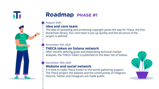The idea of spreading and protecting copyright paves the way for Theca, the first blockchain library. Our core team is put up quickly and the structure of the

After months defining goals and elaborating technical market analyzes, the THECA Token is published on the Main net of Solana.



It is time to make Theca known to the world, gathering support. The Theca project, the website and the communities of Telegram, Discord, Twitter and Instagram are made public.



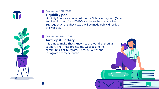

**December 17th 2021**

**Liquidity pool**

Liquidity Pools are created within the Solana ecosystem (Orca and Raydium, etc..) and THECA can be exchanged via Swap. Subsequently, the Theca swap will be made public directly on the website.

**December 20th 2021 Airdrop & Lottery** It is time to make Theca known to the world, gathering support. The Theca project, the website and the communities of Telegram, Discord, Twitter and Instagram are made public.

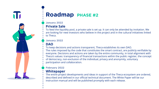## **January 2022**

### **Private Sale**

To feed the liquidity pool, a private sale is set up. It can only be attended by invitation. We are looking for new investors who believe in the project and in the cultural initiatives linked to Theca.

### **January 2022 DAO**

To keep decisions and actions transparent, Theca establishes its own DAO. The rules imposed by the code that constitutes the smart contract, are publicly verifiable by everyone. Decisions and actions are taken by the entire community, in total alignment with Theca's values: transparency of financial transactions within the public register, the concept of democracy, non-exclusion of the individual, privacy and anonymity, voluntary participation and collaboration.



# **Roadmap PHASE #2**

### **February 2022**

## **Whitepaper**

The entire project developments and ideas in support of the Theca ecosystem are ordered, described and defined in our official technical document. The White Paper will be our instruction manual and will be published promptly with each release.





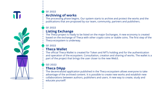The Theca project is ready to be listed on the major Exchanges. A new economy is created based on the exchange of Theca with other crypto coins or stable coins. The first step of the

The official Theca Wallet is created for Token and NFTs holding and for the authentication and operation of the ecosystem. Consultation, creation and sharing of works. The wallet is a part of the project that brings the user closer to the new Web3.



The decentralized application published in the Theca ecosystem allows everyone to take advantage of the archived content. It is possible to create new works and establish new collaborations between authors, publishers and users. A new way to create, study and





The processing phase begins. Our system starts to archive and protect the works and the publications that are proposed by our team, community, partners and publishers.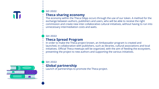

## **Q3 2022**

**Theca sharing economy**

The economy within the Theca DApp occurs through the use of our token. A method for the exchange between authors, publishers and users, who will be able to receive the right commission and create new inter-collaborative cultural initiatives, without having to run into unnecessary intermediation costs and waits.

## **Q4 2022**

**Theca Spread Program**

In order to make the Theca project known, an Ambassador program is created and launched, in collaboration with publishers, such as libraries, cultural associations and local initiatives. Official Theca meetups will be organized, with the aim of feeding the ecosystem, presenting the project to new authors and supporting the various initiatives.

**Q4 2022**

**Global partnership** Launch of partnerships to promote the Theca project.

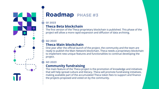### **Q1 2023**

## **Theca Beta blockchain**

The first version of the Theca proprietary blockchain is published. This phase of the project will allow a more rapid expansion and diffusion of data archiving.

### **Q2 2023**

## **Theca Main blockchain**

One year after the official launch of the project, the community and the team are ready to publish the Main Network blockchain. Theca needs a proprietary blockchain to implement new unique features and functionalities to continue developing the project.

### **Q3 2023**

## **Community fundraising**

The main feature of the Theca project is the promotion of knowledge and initiatives that will help spread culture and literacy. Theca will promote fundraising initiatives, making available part of the accumulated Theca token fees to support and finance the projects proposed and voted on by the community.



# **Roadmap PHASE #3**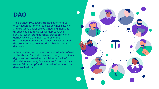The acronym **DAO** (Decentralized autonomous organization) is for an organization whose activity and executive power are obtained and managed through codified rules using smart contracts. For this reason, **transparency**, **traceability** and **democracy** are the main features of this organization. Both DAO financial transactions and the program rules are stored in a blockchain-type database.

A decentralized autonomous organization is defined as the ability of a blockchain technology to provide a digital and secure ledger, which keeps track of financial interactions, fights against forgery using a trusted "timestamp" and stores all information in a decentralized way.





## **DAO**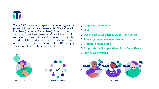# N

Theca DAO is a community-run, community-governed protocol. Proposals are presented by Theca Council Members (maximum 9 members). If the proposal is supported by at least two other Council Members it will pass to the vote of the entire Council, or it will be voted by all the holders who have a minimum amount of THECA defined within the rules of the DAO program. The actions that can be voted on will be:



![](_page_17_Figure_10.jpeg)

### **Proposals for changes**

- **Updates**
- **Use of resources such as wallets and assets**
- **Treasury revenue allocations and distribution**
- **Protocol and app fees**
	- **Proposals for the operation of the Dapp Theca**
	- **New ways of voting**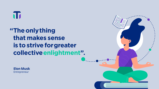# T

# **The only thing " that makes sense is to strive for greater collective enlightment".**

![](_page_18_Picture_2.jpeg)

![](_page_18_Picture_3.jpeg)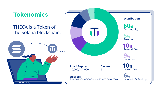## **Tokenomics**

Community **60%**

Reserve **5%**

Rewards & Airdrop **6%**

Founders **9%**

Private sale **10%**

Team & Dev **10%**

**Fixed Supply** 10,000,000,000

**Address** D3cm6WRnyBct3p7vFqyTt2CaynsGPuVQT2zW6WHSTX6q

![](_page_19_Picture_14.jpeg)

**Decimal** 6

## THECA is a Token of the Solana blockchain.

![](_page_19_Picture_2.jpeg)

![](_page_19_Picture_3.jpeg)

**Distribution**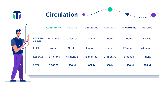![](_page_20_Picture_0.jpeg)

## **Circulation**

|                          |                                | <b>Community</b> | <b>Rewards</b> | <b>Team &amp; Dev</b> | <b>Founders</b> | <b>Private sale</b> | <b>Reserve</b> |
|--------------------------|--------------------------------|------------------|----------------|-----------------------|-----------------|---------------------|----------------|
| $\overline{\phantom{0}}$ | <b>LOCKED</b><br><b>AT TGE</b> | Unlocked         | Unlocked       | Locked                | Locked          | Locked              | Locked         |
|                          | <b>CLIFF</b>                   | No cliff         | No cliff       | 3 months              | 6 months        | 12 months           | 24 months      |
|                          | <b>RELEASE</b>                 | 48 months        | 48 months      | 45 months             | 24 months       | 6 months            | 1 month        |
|                          | <b>TOTAL</b>                   | 6.000 M          | 600 M          | <b>1.000 M</b>        | 900 M           | <b>1.000 M</b>      | <b>500 M</b>   |
|                          |                                |                  |                |                       |                 |                     |                |

![](_page_20_Figure_3.jpeg)

![](_page_20_Picture_4.jpeg)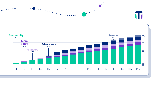![](_page_21_Figure_0.jpeg)

![](_page_21_Figure_1.jpeg)

![](_page_21_Figure_2.jpeg)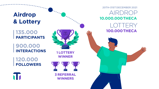**135.000 PARTICIPANTS**

**900.000 INTERACTIONS**

**120.000 FOLLOWERS**

![](_page_22_Picture_4.jpeg)

**1 LOTTERY WINNER**

**3 REFERRAL WINNERS**

**Airdrop & Lottery**

## AIRDROP **10.000.000 THECA 20TH-31ST DECEMBER 2021** LOTTERY **100.000 THECA**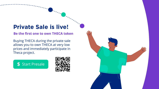## **Private Sale is live!**

Buying THECA during the private sale allows you to own THECA at very low prices and immediately participate in Theca project.

**Be the first one to own THECA token**

![](_page_23_Picture_3.jpeg)

![](_page_23_Picture_4.jpeg)

![](_page_23_Picture_5.jpeg)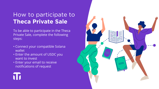# How to participate to **Theca Private Sale**

To be able to participate in the Theca Private Sale, complete the following steps:

- Connect your compatible Solana wallet
- Enter the amount of USDC you want to invest
- Enter your email to receive notifications of request

![](_page_24_Picture_6.jpeg)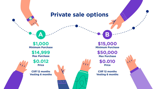**A**

### **\$1,000 Minimum Purchase**

**\$0.012 Price**

 $\mathcal{L}_{\ell}$ 

**Cliff 12 months Vesting 6 months**

![](_page_25_Picture_5.jpeg)

**Cliff 12 months Vesting 6 months**

![](_page_25_Picture_10.jpeg)

![](_page_25_Picture_11.jpeg)

**\$14,999 Max Purchase**

### **\$15,000 Minimum Purchase**

**\$0.010 Price**

**\$50,000 Max Purchase**

**B**

## **Private sale options**

 $\left| \cdot \right|$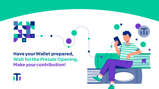![](_page_26_Picture_0.jpeg)

![](_page_26_Picture_2.jpeg)

![](_page_26_Picture_3.jpeg)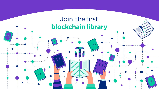![](_page_27_Picture_0.jpeg)

# Join the first **blockchain library**

![](_page_27_Picture_2.jpeg)